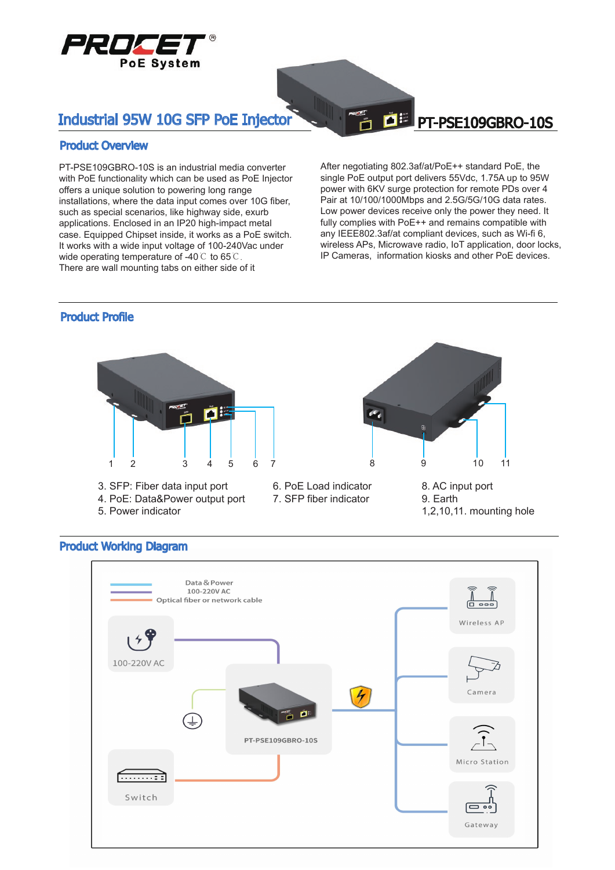

# Industrial 95W 10G SFP PoE Injector PT-PSE109GBRO-10S

#### Product Overview

PT-PSE109GBRO-10S is an industrial media converter with PoE functionality which can be used as PoE Injector offers a unique solution to powering long range installations, where the data input comes over 10G fiber, such as special scenarios, like highway side, exurb applications. Enclosed in an IP20 high-impact metal case. Equipped Chipset inside, it works as a PoE switch. It works with a wide input voltage of 100-240Vac under wide operating temperature of -40℃ to 65℃. There are wall mounting tabs on either side of it

After negotiating 802.3af/at/PoE++ standard PoE, the single PoE output port delivers 55Vdc, 1.75A up to 95W power with 6KV surge protection for remote PDs over 4 Pair at 10/100/1000Mbps and 2.5G/5G/10G data rates. Low power devices receive only the power they need. It fully complies with PoE++ and remains compatible with any IEEE802.3af/at compliant devices, such as Wi-fi 6, wireless APs, Microwave radio, IoT application, door locks, IP Cameras, information kiosks and other PoE devices.

#### Product Profile



- 3. SFP: Fiber data input port
- 4. PoE: Data&Power output port
- 5. Power indicator

6. PoE Load indicator 7. SFP fiber indicator



8. AC input port 9. Earth 1,2,10,11. mounting hole

### Product Working Diagram